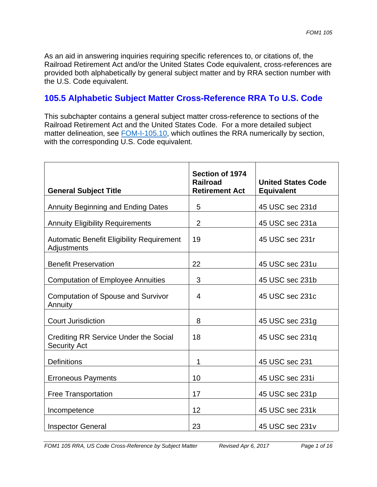As an aid in answering inquiries requiring specific references to, or citations of, the Railroad Retirement Act and/or the United States Code equivalent, cross-references are provided both alphabetically by general subject matter and by RRA section number with the U.S. Code equivalent.

## **105.5 Alphabetic Subject Matter Cross-Reference RRA To U.S. Code**

This subchapter contains a general subject matter cross-reference to sections of the Railroad Retirement Act and the United States Code. For a more detailed subject matter delineation, see **FOM-I-105.10**, which outlines the RRA numerically by section, with the corresponding U.S. Code equivalent.

| <b>General Subject Title</b>                                    | Section of 1974<br><b>Railroad</b><br><b>Retirement Act</b> | <b>United States Code</b><br>Equivalent |
|-----------------------------------------------------------------|-------------------------------------------------------------|-----------------------------------------|
| <b>Annuity Beginning and Ending Dates</b>                       | 5                                                           | 45 USC sec 231d                         |
| <b>Annuity Eligibility Requirements</b>                         | $\overline{2}$                                              | 45 USC sec 231a                         |
| <b>Automatic Benefit Eligibility Requirement</b><br>Adjustments | 19                                                          | 45 USC sec 231r                         |
| <b>Benefit Preservation</b>                                     | 22                                                          | 45 USC sec 231u                         |
| <b>Computation of Employee Annuities</b>                        | 3                                                           | 45 USC sec 231b                         |
| <b>Computation of Spouse and Survivor</b><br>Annuity            | $\overline{4}$                                              | 45 USC sec 231c                         |
| <b>Court Jurisdiction</b>                                       | 8                                                           | 45 USC sec 231g                         |
| Crediting RR Service Under the Social<br><b>Security Act</b>    | 18                                                          | 45 USC sec 231q                         |
| <b>Definitions</b>                                              | 1                                                           | 45 USC sec 231                          |
| <b>Erroneous Payments</b>                                       | 10                                                          | 45 USC sec 231i                         |
| <b>Free Transportation</b>                                      | 17                                                          | 45 USC sec 231p                         |
| Incompetence                                                    | 12                                                          | 45 USC sec 231k                         |
| <b>Inspector General</b>                                        | 23                                                          | 45 USC sec 231v                         |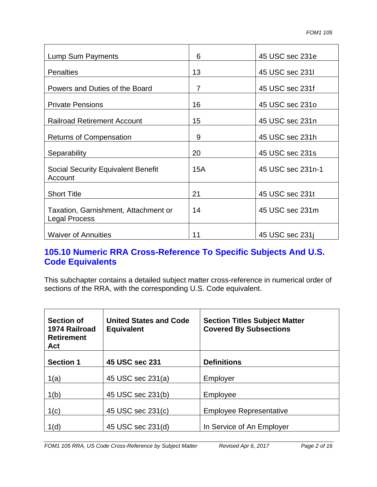| Lump Sum Payments                                            | 6   | 45 USC sec 231e   |
|--------------------------------------------------------------|-----|-------------------|
| <b>Penalties</b>                                             | 13  | 45 USC sec 2311   |
| Powers and Duties of the Board                               | 7   | 45 USC sec 231f   |
| <b>Private Pensions</b>                                      | 16  | 45 USC sec 2310   |
| <b>Railroad Retirement Account</b>                           | 15  | 45 USC sec 231n   |
| <b>Returns of Compensation</b>                               | 9   | 45 USC sec 231h   |
| Separability                                                 | 20  | 45 USC sec 231s   |
| <b>Social Security Equivalent Benefit</b><br>Account         | 15A | 45 USC sec 231n-1 |
| <b>Short Title</b>                                           | 21  | 45 USC sec 231t   |
| Taxation, Garnishment, Attachment or<br><b>Legal Process</b> | 14  | 45 USC sec 231m   |
| <b>Waiver of Annuities</b>                                   | 11  | 45 USC sec 231    |

## **105.10 Numeric RRA Cross-Reference To Specific Subjects And U.S. Code Equivalents**

This subchapter contains a detailed subject matter cross-reference in numerical order of sections of the RRA, with the corresponding U.S. Code equivalent.

| <b>Section of</b><br>1974 Railroad<br><b>Retirement</b><br>Act | <b>United States and Code</b><br><b>Equivalent</b> | <b>Section Titles Subject Matter</b><br><b>Covered By Subsections</b> |
|----------------------------------------------------------------|----------------------------------------------------|-----------------------------------------------------------------------|
| <b>Section 1</b>                                               | 45 USC sec 231                                     | <b>Definitions</b>                                                    |
| 1(a)                                                           | 45 USC sec 231(a)                                  | Employer                                                              |
| 1(b)                                                           | 45 USC sec 231(b)                                  | Employee                                                              |
| 1(c)                                                           | 45 USC sec 231(c)                                  | <b>Employee Representative</b>                                        |
| 1(d)                                                           | 45 USC sec 231(d)                                  | In Service of An Employer                                             |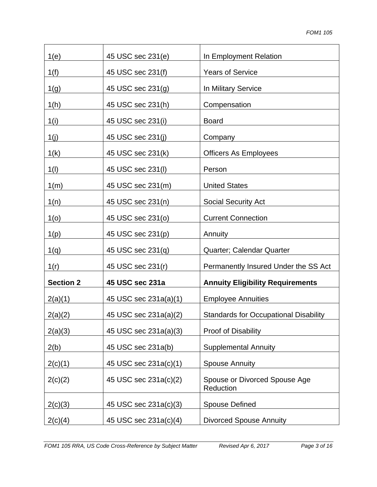| 1(e)             | 45 USC sec 231(e)     | In Employment Relation                       |
|------------------|-----------------------|----------------------------------------------|
| 1(f)             | 45 USC sec 231(f)     | <b>Years of Service</b>                      |
| 1(g)             | 45 USC sec 231(g)     | In Military Service                          |
| 1(h)             | 45 USC sec 231(h)     | Compensation                                 |
| 1(i)             | 45 USC sec 231(i)     | <b>Board</b>                                 |
| 1(j)             | 45 USC sec 231(j)     | Company                                      |
| 1(k)             | 45 USC sec 231(k)     | <b>Officers As Employees</b>                 |
| 1(1)             | 45 USC sec 231(l)     | Person                                       |
| 1(m)             | 45 USC sec 231(m)     | <b>United States</b>                         |
| 1(n)             | 45 USC sec 231(n)     | <b>Social Security Act</b>                   |
| 1 <sub>(0)</sub> | 45 USC sec 231(0)     | <b>Current Connection</b>                    |
| 1(p)             | 45 USC sec 231(p)     | Annuity                                      |
| 1(q)             | 45 USC sec 231(q)     | Quarter; Calendar Quarter                    |
| 1(r)             | 45 USC sec 231(r)     | Permanently Insured Under the SS Act         |
| <b>Section 2</b> | 45 USC sec 231a       | <b>Annuity Eligibility Requirements</b>      |
| 2(a)(1)          | 45 USC sec 231a(a)(1) | <b>Employee Annuities</b>                    |
| 2(a)(2)          | 45 USC sec 231a(a)(2) | <b>Standards for Occupational Disability</b> |
| 2(a)(3)          | 45 USC sec 231a(a)(3) | <b>Proof of Disability</b>                   |
| 2(b)             | 45 USC sec 231a(b)    | <b>Supplemental Annuity</b>                  |
| 2(c)(1)          | 45 USC sec 231a(c)(1) | <b>Spouse Annuity</b>                        |
| 2(c)(2)          | 45 USC sec 231a(c)(2) | Spouse or Divorced Spouse Age<br>Reduction   |
| 2(c)(3)          | 45 USC sec 231a(c)(3) | <b>Spouse Defined</b>                        |
| 2(c)(4)          | 45 USC sec 231a(c)(4) | <b>Divorced Spouse Annuity</b>               |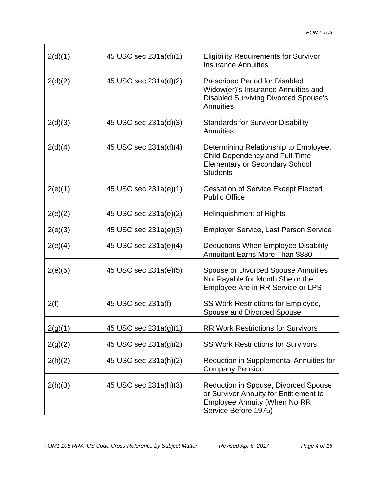| 2(d)(1) | 45 USC sec 231a(d)(1) | <b>Eligibility Requirements for Survivor</b><br><b>Insurance Annuities</b>                                                                    |
|---------|-----------------------|-----------------------------------------------------------------------------------------------------------------------------------------------|
| 2(d)(2) | 45 USC sec 231a(d)(2) | <b>Prescribed Period for Disabled</b><br>Widow(er)'s Insurance Annuities and<br><b>Disabled Surviving Divorced Spouse's</b><br>Annuities      |
| 2(d)(3) | 45 USC sec 231a(d)(3) | <b>Standards for Survivor Disability</b><br><b>Annuities</b>                                                                                  |
| 2(d)(4) | 45 USC sec 231a(d)(4) | Determining Relationship to Employee,<br>Child Dependency and Full-Time<br><b>Elementary or Secondary School</b><br><b>Students</b>           |
| 2(e)(1) | 45 USC sec 231a(e)(1) | <b>Cessation of Service Except Elected</b><br><b>Public Office</b>                                                                            |
| 2(e)(2) | 45 USC sec 231a(e)(2) | <b>Relinquishment of Rights</b>                                                                                                               |
| 2(e)(3) | 45 USC sec 231a(e)(3) | <b>Employer Service, Last Person Service</b>                                                                                                  |
| 2(e)(4) | 45 USC sec 231a(e)(4) | Deductions When Employee Disability<br><b>Annuitant Earns More Than \$880</b>                                                                 |
| 2(e)(5) | 45 USC sec 231a(e)(5) | <b>Spouse or Divorced Spouse Annuities</b><br>Not Payable for Month She or the<br>Employee Are in RR Service or LPS                           |
| 2(f)    | 45 USC sec 231a(f)    | SS Work Restrictions for Employee,<br>Spouse and Divorced Spouse                                                                              |
| 2(g)(1) | 45 USC sec 231a(g)(1) | <b>RR Work Restrictions for Survivors</b>                                                                                                     |
| 2(g)(2) | 45 USC sec 231a(g)(2) | <b>SS Work Restrictions for Survivors</b>                                                                                                     |
| 2(h)(2) | 45 USC sec 231a(h)(2) | Reduction in Supplemental Annuities for<br><b>Company Pension</b>                                                                             |
| 2(h)(3) | 45 USC sec 231a(h)(3) | Reduction in Spouse, Divorced Spouse<br>or Survivor Annuity for Entitlement to<br><b>Employee Annuity (When No RR</b><br>Service Before 1975) |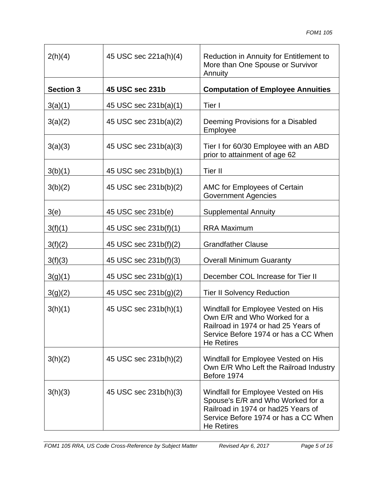| 2(h)(4)          | 45 USC sec 221a(h)(4) | Reduction in Annuity for Entitlement to<br>More than One Spouse or Survivor<br>Annuity                                                                                       |
|------------------|-----------------------|------------------------------------------------------------------------------------------------------------------------------------------------------------------------------|
| <b>Section 3</b> | 45 USC sec 231b       | <b>Computation of Employee Annuities</b>                                                                                                                                     |
| 3(a)(1)          | 45 USC sec 231b(a)(1) | Tier I                                                                                                                                                                       |
| 3(a)(2)          | 45 USC sec 231b(a)(2) | Deeming Provisions for a Disabled<br>Employee                                                                                                                                |
| 3(a)(3)          | 45 USC sec 231b(a)(3) | Tier I for 60/30 Employee with an ABD<br>prior to attainment of age 62                                                                                                       |
| 3(b)(1)          | 45 USC sec 231b(b)(1) | Tier II                                                                                                                                                                      |
| 3(b)(2)          | 45 USC sec 231b(b)(2) | AMC for Employees of Certain<br><b>Government Agencies</b>                                                                                                                   |
| 3(e)             | 45 USC sec 231b(e)    | <b>Supplemental Annuity</b>                                                                                                                                                  |
| 3(f)(1)          | 45 USC sec 231b(f)(1) | <b>RRA Maximum</b>                                                                                                                                                           |
| 3(f)(2)          | 45 USC sec 231b(f)(2) | <b>Grandfather Clause</b>                                                                                                                                                    |
| 3(f)(3)          | 45 USC sec 231b(f)(3) | <b>Overall Minimum Guaranty</b>                                                                                                                                              |
| 3(g)(1)          | 45 USC sec 231b(g)(1) | December COL Increase for Tier II                                                                                                                                            |
| 3(g)(2)          | 45 USC sec 231b(g)(2) | <b>Tier II Solvency Reduction</b>                                                                                                                                            |
| 3(h)(1)          | 45 USC sec 231b(h)(1) | Windfall for Employee Vested on His<br>Own E/R and Who Worked for a<br>Railroad in 1974 or had 25 Years of<br>Service Before 1974 or has a CC When<br><b>He Retires</b>      |
| 3(h)(2)          | 45 USC sec 231b(h)(2) | Windfall for Employee Vested on His<br>Own E/R Who Left the Railroad Industry<br>Before 1974                                                                                 |
| 3(h)(3)          | 45 USC sec 231b(h)(3) | Windfall for Employee Vested on His<br>Spouse's E/R and Who Worked for a<br>Railroad in 1974 or had 25 Years of<br>Service Before 1974 or has a CC When<br><b>He Retires</b> |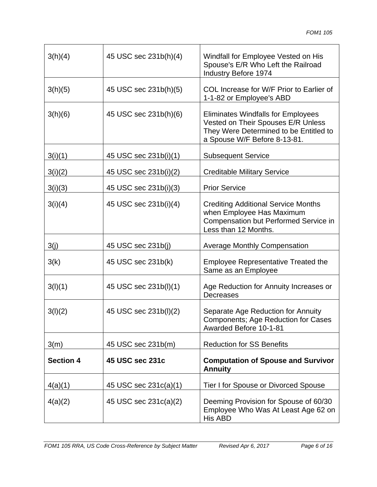| 3(h)(4)          | 45 USC sec 231b(h)(4) | Windfall for Employee Vested on His<br>Spouse's E/R Who Left the Railroad<br>Industry Before 1974                                                         |
|------------------|-----------------------|-----------------------------------------------------------------------------------------------------------------------------------------------------------|
| 3(h)(5)          | 45 USC sec 231b(h)(5) | COL Increase for W/F Prior to Earlier of<br>1-1-82 or Employee's ABD                                                                                      |
| 3(h)(6)          | 45 USC sec 231b(h)(6) | <b>Eliminates Windfalls for Employees</b><br>Vested on Their Spouses E/R Unless<br>They Were Determined to be Entitled to<br>a Spouse W/F Before 8-13-81. |
| 3(i)(1)          | 45 USC sec 231b(i)(1) | <b>Subsequent Service</b>                                                                                                                                 |
| 3(i)(2)          | 45 USC sec 231b(i)(2) | <b>Creditable Military Service</b>                                                                                                                        |
| 3(i)(3)          | 45 USC sec 231b(i)(3) | <b>Prior Service</b>                                                                                                                                      |
| 3(i)(4)          | 45 USC sec 231b(i)(4) | <b>Crediting Additional Service Months</b><br>when Employee Has Maximum<br>Compensation but Performed Service in<br>Less than 12 Months.                  |
| 3(j)             | 45 USC sec 231b(j)    | <b>Average Monthly Compensation</b>                                                                                                                       |
| 3(k)             | 45 USC sec 231b(k)    | <b>Employee Representative Treated the</b><br>Same as an Employee                                                                                         |
| 3(I)(1)          | 45 USC sec 231b(l)(1) | Age Reduction for Annuity Increases or<br><b>Decreases</b>                                                                                                |
| 3(l)(2)          | 45 USC sec 231b(l)(2) | Separate Age Reduction for Annuity<br>Components; Age Reduction for Cases<br>Awarded Before 10-1-81                                                       |
| 3(m)             | 45 USC sec 231b(m)    | <b>Reduction for SS Benefits</b>                                                                                                                          |
| <b>Section 4</b> | 45 USC sec 231c       | <b>Computation of Spouse and Survivor</b><br><b>Annuity</b>                                                                                               |
| 4(a)(1)          | 45 USC sec 231c(a)(1) | Tier I for Spouse or Divorced Spouse                                                                                                                      |
| 4(a)(2)          | 45 USC sec 231c(a)(2) | Deeming Provision for Spouse of 60/30<br>Employee Who Was At Least Age 62 on<br>His ABD                                                                   |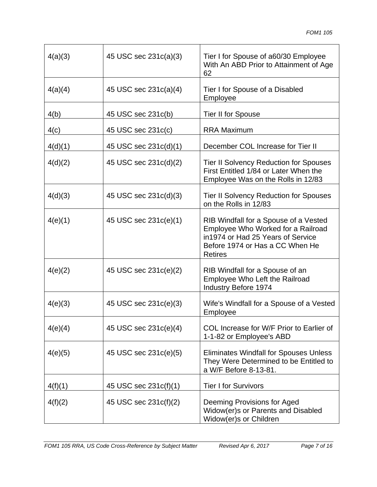| 4(a)(3) | 45 USC sec 231c(a)(3) | Tier I for Spouse of a60/30 Employee<br>With An ABD Prior to Attainment of Age<br>62                                                                                  |
|---------|-----------------------|-----------------------------------------------------------------------------------------------------------------------------------------------------------------------|
| 4(a)(4) | 45 USC sec 231c(a)(4) | Tier I for Spouse of a Disabled<br>Employee                                                                                                                           |
| 4(b)    | 45 USC sec 231c(b)    | Tier II for Spouse                                                                                                                                                    |
| 4(c)    | 45 USC sec 231c(c)    | <b>RRA Maximum</b>                                                                                                                                                    |
| 4(d)(1) | 45 USC sec 231c(d)(1) | December COL Increase for Tier II                                                                                                                                     |
| 4(d)(2) | 45 USC sec 231c(d)(2) | <b>Tier II Solvency Reduction for Spouses</b><br>First Entitled 1/84 or Later When the<br>Employee Was on the Rolls in 12/83                                          |
| 4(d)(3) | 45 USC sec 231c(d)(3) | <b>Tier II Solvency Reduction for Spouses</b><br>on the Rolls in 12/83                                                                                                |
| 4(e)(1) | 45 USC sec 231c(e)(1) | RIB Windfall for a Spouse of a Vested<br>Employee Who Worked for a Railroad<br>in1974 or Had 25 Years of Service<br>Before 1974 or Has a CC When He<br><b>Retires</b> |
| 4(e)(2) | 45 USC sec 231c(e)(2) | RIB Windfall for a Spouse of an<br>Employee Who Left the Railroad<br><b>Industry Before 1974</b>                                                                      |
| 4(e)(3) | 45 USC sec 231c(e)(3) | Wife's Windfall for a Spouse of a Vested<br>Employee                                                                                                                  |
| 4(e)(4) | 45 USC sec 231c(e)(4) | COL Increase for W/F Prior to Earlier of<br>1-1-82 or Employee's ABD                                                                                                  |
| 4(e)(5) | 45 USC sec 231c(e)(5) | <b>Eliminates Windfall for Spouses Unless</b><br>They Were Determined to be Entitled to<br>a W/F Before 8-13-81.                                                      |
| 4(f)(1) | 45 USC sec 231c(f)(1) | <b>Tier I for Survivors</b>                                                                                                                                           |
| 4(f)(2) | 45 USC sec 231c(f)(2) | Deeming Provisions for Aged<br>Widow(er)s or Parents and Disabled<br>Widow(er)s or Children                                                                           |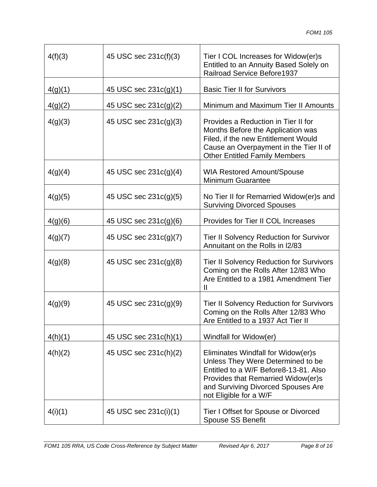| 4(f)(3) | 45 USC sec 231c(f)(3) | Tier I COL Increases for Widow(er)s<br>Entitled to an Annuity Based Solely on<br><b>Railroad Service Before1937</b>                                                                                                    |
|---------|-----------------------|------------------------------------------------------------------------------------------------------------------------------------------------------------------------------------------------------------------------|
| 4(g)(1) | 45 USC sec 231c(g)(1) | <b>Basic Tier II for Survivors</b>                                                                                                                                                                                     |
| 4(g)(2) | 45 USC sec 231c(g)(2) | Minimum and Maximum Tier II Amounts                                                                                                                                                                                    |
| 4(g)(3) | 45 USC sec 231c(g)(3) | Provides a Reduction in Tier II for<br>Months Before the Application was<br>Filed, if the new Entitlement Would<br>Cause an Overpayment in the Tier II of<br><b>Other Entitled Family Members</b>                      |
| 4(g)(4) | 45 USC sec 231c(g)(4) | <b>WIA Restored Amount/Spouse</b><br><b>Minimum Guarantee</b>                                                                                                                                                          |
| 4(g)(5) | 45 USC sec 231c(g)(5) | No Tier II for Remarried Widow(er)s and<br><b>Surviving Divorced Spouses</b>                                                                                                                                           |
| 4(g)(6) | 45 USC sec 231c(g)(6) | Provides for Tier II COL Increases                                                                                                                                                                                     |
| 4(g)(7) | 45 USC sec 231c(g)(7) | <b>Tier II Solvency Reduction for Survivor</b><br>Annuitant on the Rolls in I2/83                                                                                                                                      |
| 4(g)(8) | 45 USC sec 231c(g)(8) | <b>Tier II Solvency Reduction for Survivors</b><br>Coming on the Rolls After 12/83 Who<br>Are Entitled to a 1981 Amendment Tier<br>$\mathbf{I}$                                                                        |
| 4(g)(9) | 45 USC sec 231c(g)(9) | <b>Tier II Solvency Reduction for Survivors</b><br>Coming on the Rolls After 12/83 Who<br>Are Entitled to a 1937 Act Tier II                                                                                           |
| 4(h)(1) | 45 USC sec 231c(h)(1) | Windfall for Widow(er)                                                                                                                                                                                                 |
| 4(h)(2) | 45 USC sec 231c(h)(2) | Eliminates Windfall for Widow(er)s<br>Unless They Were Determined to be<br>Entitled to a W/F Before8-13-81. Also<br>Provides that Remarried Widow(er)s<br>and Surviving Divorced Spouses Are<br>not Eligible for a W/F |
| 4(i)(1) | 45 USC sec 231c(i)(1) | Tier I Offset for Spouse or Divorced<br><b>Spouse SS Benefit</b>                                                                                                                                                       |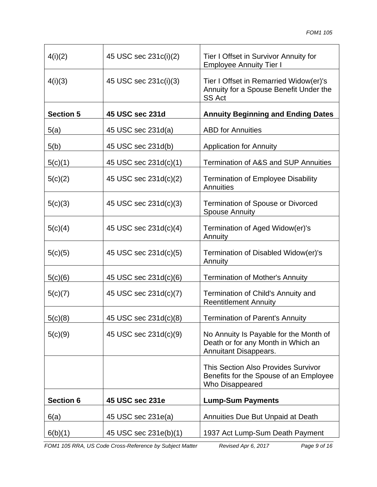| 4(i)(2)          | 45 USC sec 231c(i)(2) | Tier I Offset in Survivor Annuity for<br><b>Employee Annuity Tier I</b>                                      |
|------------------|-----------------------|--------------------------------------------------------------------------------------------------------------|
| 4(i)(3)          | 45 USC sec 231c(i)(3) | Tier I Offset in Remarried Widow(er)'s<br>Annuity for a Spouse Benefit Under the<br><b>SS Act</b>            |
| <b>Section 5</b> | 45 USC sec 231d       | <b>Annuity Beginning and Ending Dates</b>                                                                    |
| 5(a)             | 45 USC sec 231d(a)    | <b>ABD</b> for Annuities                                                                                     |
| 5(b)             | 45 USC sec 231d(b)    | <b>Application for Annuity</b>                                                                               |
| 5(c)(1)          | 45 USC sec 231d(c)(1) | <b>Termination of A&amp;S and SUP Annuities</b>                                                              |
| 5(c)(2)          | 45 USC sec 231d(c)(2) | <b>Termination of Employee Disability</b><br>Annuities                                                       |
| 5(c)(3)          | 45 USC sec 231d(c)(3) | <b>Termination of Spouse or Divorced</b><br><b>Spouse Annuity</b>                                            |
| 5(c)(4)          | 45 USC sec 231d(c)(4) | Termination of Aged Widow(er)'s<br>Annuity                                                                   |
| 5(c)(5)          | 45 USC sec 231d(c)(5) | Termination of Disabled Widow(er)'s<br>Annuity                                                               |
| 5(c)(6)          | 45 USC sec 231d(c)(6) | <b>Termination of Mother's Annuity</b>                                                                       |
| 5(c)(7)          | 45 USC sec 231d(c)(7) | Termination of Child's Annuity and<br><b>Reentitlement Annuity</b>                                           |
| 5(c)(8)          | 45 USC sec 231d(c)(8) | <b>Termination of Parent's Annuity</b>                                                                       |
| 5(c)(9)          | 45 USC sec 231d(c)(9) | No Annuity Is Payable for the Month of<br>Death or for any Month in Which an<br><b>Annuitant Disappears.</b> |
|                  |                       | This Section Also Provides Survivor<br>Benefits for the Spouse of an Employee<br>Who Disappeared             |
| <b>Section 6</b> | 45 USC sec 231e       | <b>Lump-Sum Payments</b>                                                                                     |
| 6(a)             | 45 USC sec 231e(a)    | Annuities Due But Unpaid at Death                                                                            |
| 6(b)(1)          | 45 USC sec 231e(b)(1) | 1937 Act Lump-Sum Death Payment                                                                              |

*FOM1 105 RRA, US Code Cross-Reference by Subject Matter Revised Apr 6, 2017 Page 9 of 16*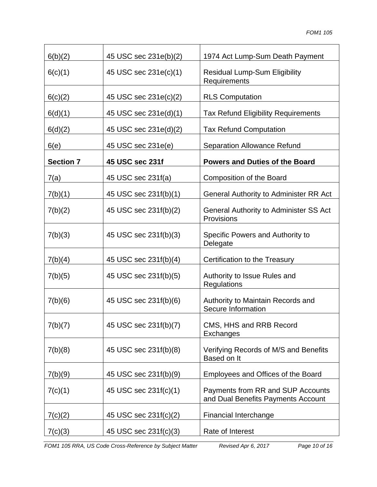| 6(b)(2)          | 45 USC sec 231e(b)(2) | 1974 Act Lump-Sum Death Payment                                         |
|------------------|-----------------------|-------------------------------------------------------------------------|
| 6(c)(1)          | 45 USC sec 231e(c)(1) | <b>Residual Lump-Sum Eligibility</b><br>Requirements                    |
| 6(c)(2)          | 45 USC sec 231e(c)(2) | <b>RLS Computation</b>                                                  |
| 6(d)(1)          | 45 USC sec 231e(d)(1) | <b>Tax Refund Eligibility Requirements</b>                              |
| 6(d)(2)          | 45 USC sec 231e(d)(2) | <b>Tax Refund Computation</b>                                           |
| 6(e)             | 45 USC sec 231e(e)    | <b>Separation Allowance Refund</b>                                      |
| <b>Section 7</b> | 45 USC sec 231f       | <b>Powers and Duties of the Board</b>                                   |
| 7(a)             | 45 USC sec 231f(a)    | <b>Composition of the Board</b>                                         |
| 7(b)(1)          | 45 USC sec 231f(b)(1) | General Authority to Administer RR Act                                  |
| 7(b)(2)          | 45 USC sec 231f(b)(2) | General Authority to Administer SS Act<br>Provisions                    |
| 7(b)(3)          | 45 USC sec 231f(b)(3) | Specific Powers and Authority to<br>Delegate                            |
| 7(b)(4)          | 45 USC sec 231f(b)(4) | Certification to the Treasury                                           |
| 7(b)(5)          | 45 USC sec 231f(b)(5) | Authority to Issue Rules and<br>Regulations                             |
| 7(b)(6)          | 45 USC sec 231f(b)(6) | Authority to Maintain Records and<br>Secure Information                 |
| 7(b)(7)          | 45 USC sec 231f(b)(7) | CMS, HHS and RRB Record<br>Exchanges                                    |
| 7(b)(8)          | 45 USC sec 231f(b)(8) | Verifying Records of M/S and Benefits<br>Based on It                    |
| 7(b)(9)          | 45 USC sec 231f(b)(9) | Employees and Offices of the Board                                      |
| 7(c)(1)          | 45 USC sec 231f(c)(1) | Payments from RR and SUP Accounts<br>and Dual Benefits Payments Account |
| 7(c)(2)          | 45 USC sec 231f(c)(2) | <b>Financial Interchange</b>                                            |
| 7(c)(3)          | 45 USC sec 231f(c)(3) | Rate of Interest                                                        |

*FOM1 105 RRA, US Code Cross-Reference by Subject Matter Revised Apr 6, 2017 Page 10 of 16*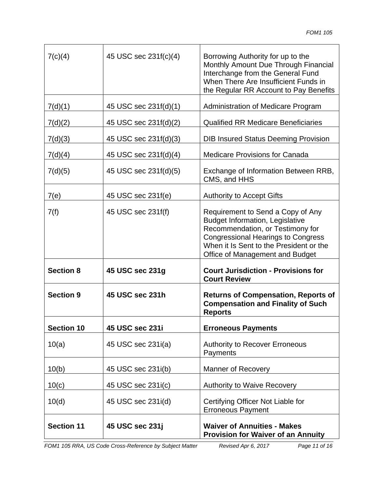| 7(c)(4)           | 45 USC sec 231f(c)(4) | Borrowing Authority for up to the<br>Monthly Amount Due Through Financial<br>Interchange from the General Fund<br>When There Are Insufficient Funds in<br>the Regular RR Account to Pay Benefits                                           |
|-------------------|-----------------------|--------------------------------------------------------------------------------------------------------------------------------------------------------------------------------------------------------------------------------------------|
| 7(d)(1)           | 45 USC sec 231f(d)(1) | Administration of Medicare Program                                                                                                                                                                                                         |
| 7(d)(2)           | 45 USC sec 231f(d)(2) | <b>Qualified RR Medicare Beneficiaries</b>                                                                                                                                                                                                 |
| 7(d)(3)           | 45 USC sec 231f(d)(3) | <b>DIB Insured Status Deeming Provision</b>                                                                                                                                                                                                |
| 7(d)(4)           | 45 USC sec 231f(d)(4) | <b>Medicare Provisions for Canada</b>                                                                                                                                                                                                      |
| 7(d)(5)           | 45 USC sec 231f(d)(5) | Exchange of Information Between RRB,<br>CMS, and HHS                                                                                                                                                                                       |
| 7(e)              | 45 USC sec 231f(e)    | <b>Authority to Accept Gifts</b>                                                                                                                                                                                                           |
| 7(f)              | 45 USC sec 231f(f)    | Requirement to Send a Copy of Any<br><b>Budget Information, Legislative</b><br>Recommendation, or Testimony for<br><b>Congressional Hearings to Congress</b><br>When it Is Sent to the President or the<br>Office of Management and Budget |
| <b>Section 8</b>  | 45 USC sec 231g       | <b>Court Jurisdiction - Provisions for</b><br><b>Court Review</b>                                                                                                                                                                          |
| <b>Section 9</b>  | 45 USC sec 231h       | <b>Returns of Compensation, Reports of</b><br><b>Compensation and Finality of Such</b><br><b>Reports</b>                                                                                                                                   |
| <b>Section 10</b> | 45 USC sec 231i       | <b>Erroneous Payments</b>                                                                                                                                                                                                                  |
| 10(a)             | 45 USC sec 231i(a)    | <b>Authority to Recover Erroneous</b><br>Payments                                                                                                                                                                                          |
| 10(b)             | 45 USC sec 231i(b)    | <b>Manner of Recovery</b>                                                                                                                                                                                                                  |
| 10(c)             | 45 USC sec 231i(c)    | <b>Authority to Waive Recovery</b>                                                                                                                                                                                                         |
| 10(d)             | 45 USC sec 231i(d)    | Certifying Officer Not Liable for<br><b>Erroneous Payment</b>                                                                                                                                                                              |
| <b>Section 11</b> | 45 USC sec 231j       | <b>Waiver of Annuities - Makes</b><br><b>Provision for Waiver of an Annuity</b>                                                                                                                                                            |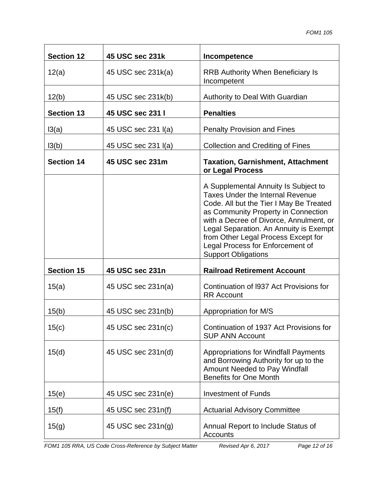| <b>Section 12</b> | 45 USC sec 231k     | Incompetence                                                                                                                                                                                                                                                                                                                                                    |
|-------------------|---------------------|-----------------------------------------------------------------------------------------------------------------------------------------------------------------------------------------------------------------------------------------------------------------------------------------------------------------------------------------------------------------|
| 12(a)             | 45 USC sec 231k(a)  | <b>RRB Authority When Beneficiary Is</b><br>Incompetent                                                                                                                                                                                                                                                                                                         |
| 12(b)             | 45 USC sec 231k(b)  | Authority to Deal With Guardian                                                                                                                                                                                                                                                                                                                                 |
| <b>Section 13</b> | 45 USC sec 231 I    | <b>Penalties</b>                                                                                                                                                                                                                                                                                                                                                |
| 13(a)             | 45 USC sec 231 I(a) | <b>Penalty Provision and Fines</b>                                                                                                                                                                                                                                                                                                                              |
| 13(b)             | 45 USC sec 231 I(a) | <b>Collection and Crediting of Fines</b>                                                                                                                                                                                                                                                                                                                        |
| <b>Section 14</b> | 45 USC sec 231m     | <b>Taxation, Garnishment, Attachment</b><br>or Legal Process                                                                                                                                                                                                                                                                                                    |
|                   |                     | A Supplemental Annuity Is Subject to<br><b>Taxes Under the Internal Revenue</b><br>Code. All but the Tier I May Be Treated<br>as Community Property in Connection<br>with a Decree of Divorce, Annulment, or<br>Legal Separation. An Annuity is Exempt<br>from Other Legal Process Except for<br>Legal Process for Enforcement of<br><b>Support Obligations</b> |
| <b>Section 15</b> | 45 USC sec 231n     | <b>Railroad Retirement Account</b>                                                                                                                                                                                                                                                                                                                              |
| 15(a)             | 45 USC sec 231n(a)  | Continuation of 1937 Act Provisions for<br><b>RR</b> Account                                                                                                                                                                                                                                                                                                    |
| 15(b)             | 45 USC sec 231n(b)  | Appropriation for M/S                                                                                                                                                                                                                                                                                                                                           |
| 15(c)             | 45 USC sec 231n(c)  | Continuation of 1937 Act Provisions for<br><b>SUP ANN Account</b>                                                                                                                                                                                                                                                                                               |
| 15(d)             | 45 USC sec 231n(d)  | <b>Appropriations for Windfall Payments</b><br>and Borrowing Authority for up to the<br>Amount Needed to Pay Windfall<br><b>Benefits for One Month</b>                                                                                                                                                                                                          |
| 15(e)             | 45 USC sec 231n(e)  | <b>Investment of Funds</b>                                                                                                                                                                                                                                                                                                                                      |
| 15(f)             | 45 USC sec 231n(f)  | <b>Actuarial Advisory Committee</b>                                                                                                                                                                                                                                                                                                                             |
| 15(g)             | 45 USC sec 231n(g)  | Annual Report to Include Status of<br><b>Accounts</b>                                                                                                                                                                                                                                                                                                           |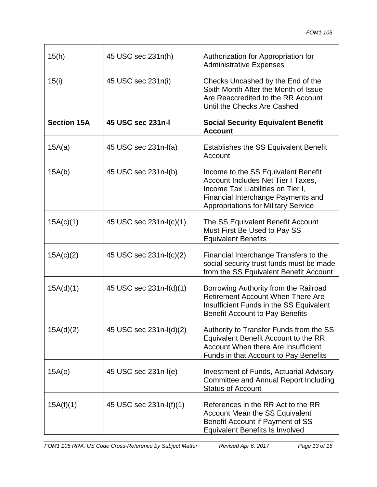| 15(h)              | 45 USC sec 231n(h)      | Authorization for Appropriation for<br><b>Administrative Expenses</b>                                                                                                                              |
|--------------------|-------------------------|----------------------------------------------------------------------------------------------------------------------------------------------------------------------------------------------------|
| 15(i)              | 45 USC sec 231n(i)      | Checks Uncashed by the End of the<br>Sixth Month After the Month of Issue<br>Are Reaccredited to the RR Account<br>Until the Checks Are Cashed                                                     |
| <b>Section 15A</b> | 45 USC sec 231n-I       | <b>Social Security Equivalent Benefit</b><br><b>Account</b>                                                                                                                                        |
| 15A(a)             | 45 USC sec 231n-I(a)    | <b>Establishes the SS Equivalent Benefit</b><br>Account                                                                                                                                            |
| 15A(b)             | 45 USC sec 231n-l(b)    | Income to the SS Equivalent Benefit<br>Account Includes Net Tier I Taxes,<br>Income Tax Liabilities on Tier I,<br>Financial Interchange Payments and<br><b>Appropriations for Military Service</b> |
| 15A(c)(1)          | 45 USC sec 231n-I(c)(1) | The SS Equivalent Benefit Account<br>Must First Be Used to Pay SS<br><b>Equivalent Benefits</b>                                                                                                    |
| 15A(c)(2)          | 45 USC sec 231n-I(c)(2) | Financial Interchange Transfers to the<br>social security trust funds must be made<br>from the SS Equivalent Benefit Account                                                                       |
| 15A(d)(1)          | 45 USC sec 231n-l(d)(1) | Borrowing Authority from the Railroad<br><b>Retirement Account When There Are</b><br>Insufficient Funds in the SS Equivalent<br><b>Benefit Account to Pay Benefits</b>                             |
| 15A(d)(2)          | 45 USC sec 231n-I(d)(2) | Authority to Transfer Funds from the SS<br>Equivalent Benefit Account to the RR<br>Account When there Are Insufficient<br>Funds in that Account to Pay Benefits                                    |
| 15A(e)             | 45 USC sec 231n-I(e)    | Investment of Funds, Actuarial Advisory<br>Committee and Annual Report Including<br><b>Status of Account</b>                                                                                       |
| 15A(f)(1)          | 45 USC sec 231n-I(f)(1) | References in the RR Act to the RR<br><b>Account Mean the SS Equivalent</b><br>Benefit Account if Payment of SS<br><b>Equivalent Benefits Is Involved</b>                                          |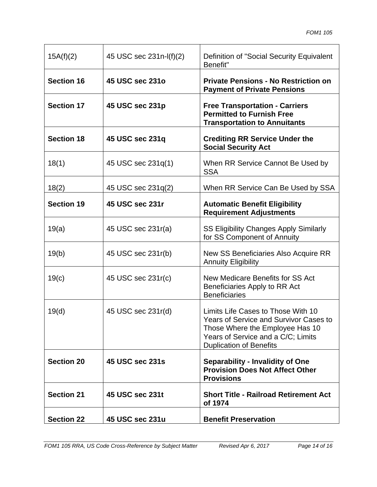| 15A(f)(2)         | 45 USC sec 231n-I(f)(2) | Definition of "Social Security Equivalent<br>Benefit"                                                                                                                                          |
|-------------------|-------------------------|------------------------------------------------------------------------------------------------------------------------------------------------------------------------------------------------|
| <b>Section 16</b> | 45 USC sec 231o         | <b>Private Pensions - No Restriction on</b><br><b>Payment of Private Pensions</b>                                                                                                              |
| <b>Section 17</b> | 45 USC sec 231p         | <b>Free Transportation - Carriers</b><br><b>Permitted to Furnish Free</b><br><b>Transportation to Annuitants</b>                                                                               |
| <b>Section 18</b> | 45 USC sec 231q         | <b>Crediting RR Service Under the</b><br><b>Social Security Act</b>                                                                                                                            |
| 18(1)             | 45 USC sec 231q(1)      | When RR Service Cannot Be Used by<br><b>SSA</b>                                                                                                                                                |
| 18(2)             | 45 USC sec 231q(2)      | When RR Service Can Be Used by SSA                                                                                                                                                             |
| <b>Section 19</b> | 45 USC sec 231r         | <b>Automatic Benefit Eligibility</b><br><b>Requirement Adjustments</b>                                                                                                                         |
| 19(a)             | 45 USC sec 231r(a)      | <b>SS Eligibility Changes Apply Similarly</b><br>for SS Component of Annuity                                                                                                                   |
| 19(b)             | 45 USC sec 231r(b)      | New SS Beneficiaries Also Acquire RR<br><b>Annuity Eligibility</b>                                                                                                                             |
| 19(c)             | 45 USC sec 231r(c)      | New Medicare Benefits for SS Act<br>Beneficiaries Apply to RR Act<br><b>Beneficiaries</b>                                                                                                      |
| 19(d)             | 45 USC sec 231r(d)      | Limits Life Cases to Those With 10<br><b>Years of Service and Survivor Cases to</b><br>Those Where the Employee Has 10<br>Years of Service and a C/C; Limits<br><b>Duplication of Benefits</b> |
| <b>Section 20</b> | 45 USC sec 231s         | <b>Separability - Invalidity of One</b><br><b>Provision Does Not Affect Other</b><br><b>Provisions</b>                                                                                         |
| <b>Section 21</b> | 45 USC sec 231t         | <b>Short Title - Railroad Retirement Act</b><br>of 1974                                                                                                                                        |
| <b>Section 22</b> | 45 USC sec 231u         | <b>Benefit Preservation</b>                                                                                                                                                                    |